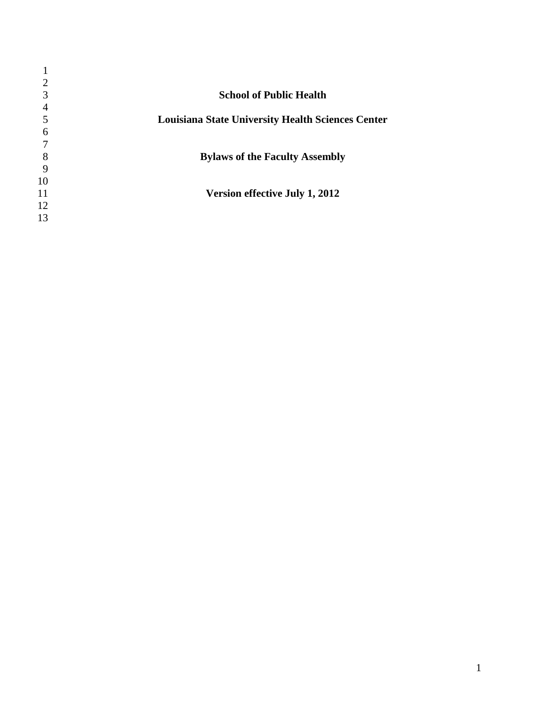| 2  |                                                          |
|----|----------------------------------------------------------|
| 3  | <b>School of Public Health</b>                           |
| 4  |                                                          |
|    | <b>Louisiana State University Health Sciences Center</b> |
| 6  |                                                          |
|    |                                                          |
| 8  | <b>Bylaws of the Faculty Assembly</b>                    |
| 9  |                                                          |
| 10 |                                                          |
| 11 | Version effective July 1, 2012                           |
| 12 |                                                          |
| 13 |                                                          |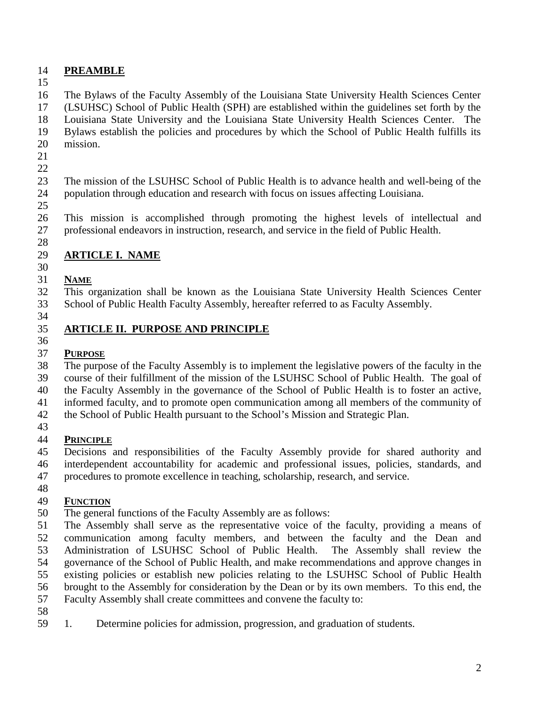## **PREAMBLE**

 The Bylaws of the Faculty Assembly of the Louisiana State University Health Sciences Center (LSUHSC) School of Public Health (SPH) are established within the guidelines set forth by the Louisiana State University and the Louisiana State University Health Sciences Center. The

 Bylaws establish the policies and procedures by which the School of Public Health fulfills its mission.

- 
- 

 The mission of the LSUHSC School of Public Health is to advance health and well-being of the population through education and research with focus on issues affecting Louisiana.

 This mission is accomplished through promoting the highest levels of intellectual and professional endeavors in instruction, research, and service in the field of Public Health.

# **ARTICLE I. NAME**

#### **NAME**

 This organization shall be known as the Louisiana State University Health Sciences Center School of Public Health Faculty Assembly, hereafter referred to as Faculty Assembly.

#### **ARTICLE II. PURPOSE AND PRINCIPLE**

## **PURPOSE**

 The purpose of the Faculty Assembly is to implement the legislative powers of the faculty in the course of their fulfillment of the mission of the LSUHSC School of Public Health. The goal of

the Faculty Assembly in the governance of the School of Public Health is to foster an active,

informed faculty, and to promote open communication among all members of the community of

- the School of Public Health pursuant to the School's Mission and Strategic Plan.
- 

# **PRINCIPLE**

Decisions and responsibilities of the Faculty Assembly provide for shared authority and

interdependent accountability for academic and professional issues, policies, standards, and

procedures to promote excellence in teaching, scholarship, research, and service.

## **FUNCTION**

- The general functions of the Faculty Assembly are as follows:
- The Assembly shall serve as the representative voice of the faculty, providing a means of communication among faculty members, and between the faculty and the Dean and Administration of LSUHSC School of Public Health. The Assembly shall review the governance of the School of Public Health, and make recommendations and approve changes in existing policies or establish new policies relating to the LSUHSC School of Public Health

brought to the Assembly for consideration by the Dean or by its own members. To this end, the

- Faculty Assembly shall create committees and convene the faculty to:
- 
- 1. Determine policies for admission, progression, and graduation of students.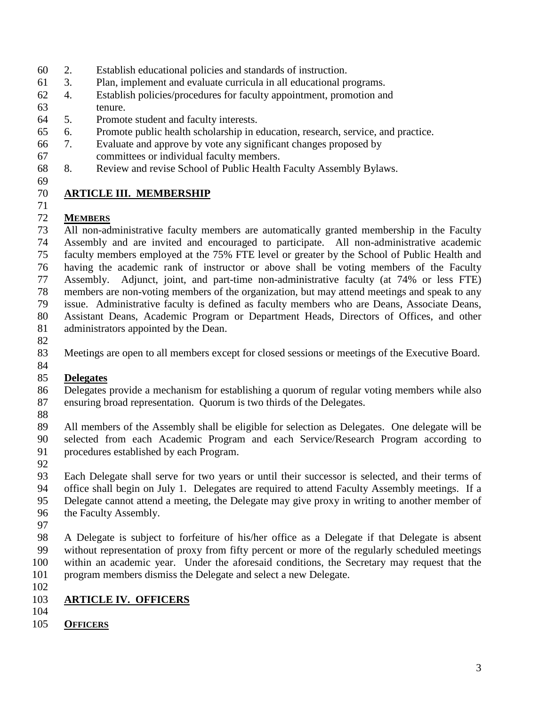- 2. Establish educational policies and standards of instruction.
- 3. Plan, implement and evaluate curricula in all educational programs.
- 4. Establish policies/procedures for faculty appointment, promotion and tenure.
- 5. Promote student and faculty interests.
- 6. Promote public health scholarship in education, research, service, and practice.
- 7. Evaluate and approve by vote any significant changes proposed by committees or individual faculty members.
- 8. Review and revise School of Public Health Faculty Assembly Bylaws.
- 

## **ARTICLE III. MEMBERSHIP**

### **MEMBERS**

 All non-administrative faculty members are automatically granted membership in the Faculty Assembly and are invited and encouraged to participate. All non-administrative academic faculty members employed at the 75% FTE level or greater by the School of Public Health and having the academic rank of instructor or above shall be voting members of the Faculty Assembly. Adjunct, joint, and part-time non-administrative faculty (at 74% or less FTE) members are non-voting members of the organization, but may attend meetings and speak to any issue. Administrative faculty is defined as faculty members who are Deans, Associate Deans, Assistant Deans, Academic Program or Department Heads, Directors of Offices, and other administrators appointed by the Dean.

Meetings are open to all members except for closed sessions or meetings of the Executive Board.

### **Delegates**

 Delegates provide a mechanism for establishing a quorum of regular voting members while also ensuring broad representation. Quorum is two thirds of the Delegates.

 All members of the Assembly shall be eligible for selection as Delegates. One delegate will be selected from each Academic Program and each Service/Research Program according to procedures established by each Program.

 Each Delegate shall serve for two years or until their successor is selected, and their terms of office shall begin on July 1. Delegates are required to attend Faculty Assembly meetings. If a Delegate cannot attend a meeting, the Delegate may give proxy in writing to another member of the Faculty Assembly.

 A Delegate is subject to forfeiture of his/her office as a Delegate if that Delegate is absent without representation of proxy from fifty percent or more of the regularly scheduled meetings within an academic year. Under the aforesaid conditions, the Secretary may request that the program members dismiss the Delegate and select a new Delegate.

## **ARTICLE IV. OFFICERS**

- 
- **OFFICERS**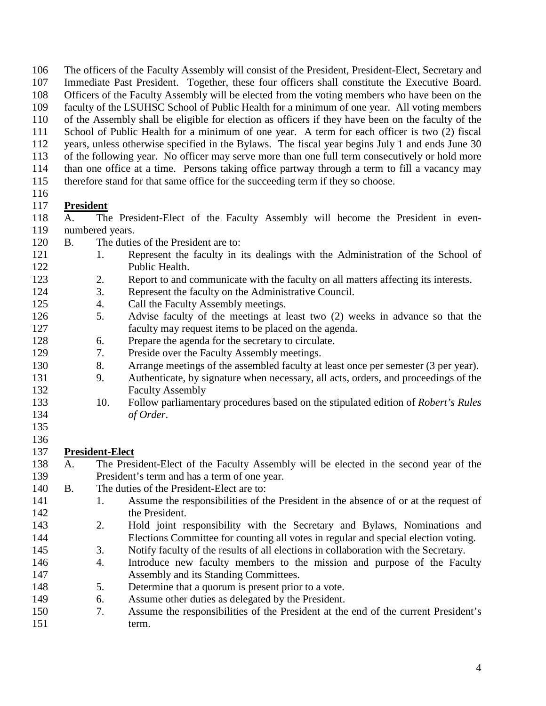The officers of the Faculty Assembly will consist of the President, President-Elect, Secretary and

- Immediate Past President. Together, these four officers shall constitute the Executive Board.
- Officers of the Faculty Assembly will be elected from the voting members who have been on the
- faculty of the LSUHSC School of Public Health for a minimum of one year. All voting members
- of the Assembly shall be eligible for election as officers if they have been on the faculty of the
- School of Public Health for a minimum of one year. A term for each officer is two (2) fiscal
- years, unless otherwise specified in the Bylaws. The fiscal year begins July 1 and ends June 30 of the following year. No officer may serve more than one full term consecutively or hold more
- than one office at a time. Persons taking office partway through a term to fill a vacancy may
- therefore stand for that same office for the succeeding term if they so choose.
- 

# **President**

- A. The President-Elect of the Faculty Assembly will become the President in even-numbered years.
- B. The duties of the President are to:
- 1. Represent the faculty in its dealings with the Administration of the School of Public Health.
- 2. Report to and communicate with the faculty on all matters affecting its interests.
- 3. Represent the faculty on the Administrative Council.
- 4. Call the Faculty Assembly meetings.
- 5. Advise faculty of the meetings at least two (2) weeks in advance so that the faculty may request items to be placed on the agenda.
- 6. Prepare the agenda for the secretary to circulate.
- 7. Preside over the Faculty Assembly meetings.
- 8. Arrange meetings of the assembled faculty at least once per semester (3 per year).
- 9. Authenticate, by signature when necessary, all acts, orders, and proceedings of the Faculty Assembly
- 10. Follow parliamentary procedures based on the stipulated edition of *Robert's Rules of Order*.
- 

#### 136<br>137 **President-Elect**

- A. The President-Elect of the Faculty Assembly will be elected in the second year of the President's term and has a term of one year.
- B. The duties of the President-Elect are to:
- 141 1. Assume the responsibilities of the President in the absence of or at the request of the President.
- 2. Hold joint responsibility with the Secretary and Bylaws, Nominations and Elections Committee for counting all votes in regular and special election voting.
- 3. Notify faculty of the results of all elections in collaboration with the Secretary.
- 4. Introduce new faculty members to the mission and purpose of the Faculty Assembly and its Standing Committees.
- 5. Determine that a quorum is present prior to a vote.
- 6. Assume other duties as delegated by the President.
- 7. Assume the responsibilities of the President at the end of the current President's term.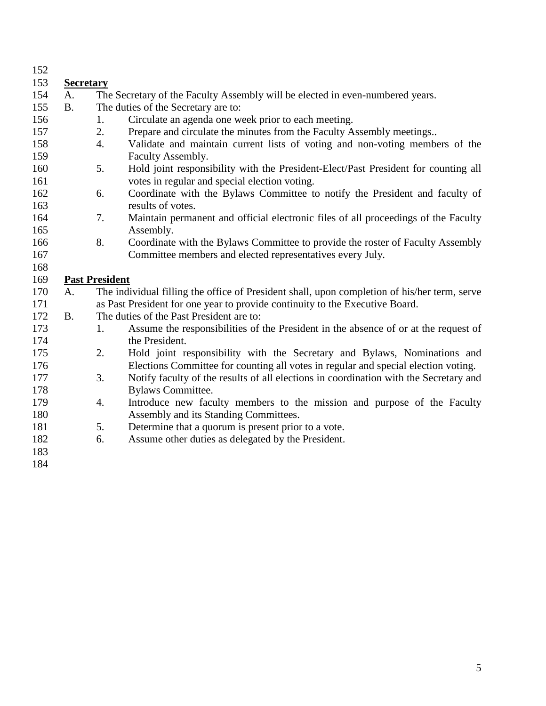| 152 |                  |                       |                                                                                              |
|-----|------------------|-----------------------|----------------------------------------------------------------------------------------------|
| 153 | <b>Secretary</b> |                       |                                                                                              |
| 154 | A.               |                       | The Secretary of the Faculty Assembly will be elected in even-numbered years.                |
| 155 | <b>B.</b>        |                       | The duties of the Secretary are to:                                                          |
| 156 |                  | 1.                    | Circulate an agenda one week prior to each meeting.                                          |
| 157 |                  | 2.                    | Prepare and circulate the minutes from the Faculty Assembly meetings                         |
| 158 |                  | $\overline{4}$ .      | Validate and maintain current lists of voting and non-voting members of the                  |
| 159 |                  |                       | Faculty Assembly.                                                                            |
| 160 |                  | 5.                    | Hold joint responsibility with the President-Elect/Past President for counting all           |
| 161 |                  |                       | votes in regular and special election voting.                                                |
| 162 |                  | 6.                    | Coordinate with the Bylaws Committee to notify the President and faculty of                  |
| 163 |                  |                       | results of votes.                                                                            |
| 164 |                  | 7.                    | Maintain permanent and official electronic files of all proceedings of the Faculty           |
| 165 |                  |                       | Assembly.                                                                                    |
| 166 |                  | 8.                    | Coordinate with the Bylaws Committee to provide the roster of Faculty Assembly               |
| 167 |                  |                       | Committee members and elected representatives every July.                                    |
| 168 |                  |                       |                                                                                              |
| 169 |                  | <b>Past President</b> |                                                                                              |
| 170 | A.               |                       | The individual filling the office of President shall, upon completion of his/her term, serve |
| 171 |                  |                       | as Past President for one year to provide continuity to the Executive Board.                 |
| 172 | <b>B.</b>        |                       | The duties of the Past President are to:                                                     |
| 173 |                  | 1.                    | Assume the responsibilities of the President in the absence of or at the request of          |
| 174 |                  |                       | the President.                                                                               |
| 175 |                  | 2.                    | Hold joint responsibility with the Secretary and Bylaws, Nominations and                     |
| 176 |                  |                       | Elections Committee for counting all votes in regular and special election voting.           |
| 177 |                  | 3.                    | Notify faculty of the results of all elections in coordination with the Secretary and        |
| 178 |                  |                       | <b>Bylaws Committee.</b>                                                                     |
| 179 |                  | 4.                    | Introduce new faculty members to the mission and purpose of the Faculty                      |
| 180 |                  |                       | Assembly and its Standing Committees.                                                        |
| 181 |                  | 5.                    | Determine that a quorum is present prior to a vote.                                          |
| 182 |                  | 6.                    | Assume other duties as delegated by the President.                                           |
| 183 |                  |                       |                                                                                              |
| 184 |                  |                       |                                                                                              |
|     |                  |                       |                                                                                              |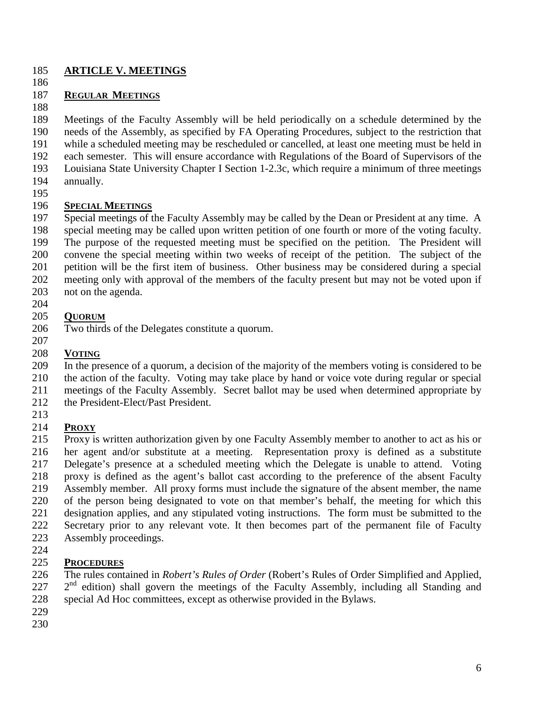#### **ARTICLE V. MEETINGS**

#### **REGULAR MEETINGS**

 Meetings of the Faculty Assembly will be held periodically on a schedule determined by the needs of the Assembly, as specified by FA Operating Procedures, subject to the restriction that while a scheduled meeting may be rescheduled or cancelled, at least one meeting must be held in each semester. This will ensure accordance with Regulations of the Board of Supervisors of the Louisiana State University Chapter I Section 1-2.3c, which require a minimum of three meetings annually.

#### **SPECIAL MEETINGS**

 Special meetings of the Faculty Assembly may be called by the Dean or President at any time. A special meeting may be called upon written petition of one fourth or more of the voting faculty. The purpose of the requested meeting must be specified on the petition. The President will convene the special meeting within two weeks of receipt of the petition. The subject of the petition will be the first item of business. Other business may be considered during a special meeting only with approval of the members of the faculty present but may not be voted upon if not on the agenda.

#### **QUORUM**

- Two thirds of the Delegates constitute a quorum.
- 

#### **VOTING**

 In the presence of a quorum, a decision of the majority of the members voting is considered to be the action of the faculty. Voting may take place by hand or voice vote during regular or special

meetings of the Faculty Assembly. Secret ballot may be used when determined appropriate by

- the President-Elect/Past President.
- 

### **PROXY**

 Proxy is written authorization given by one Faculty Assembly member to another to act as his or her agent and/or substitute at a meeting. Representation proxy is defined as a substitute Delegate's presence at a scheduled meeting which the Delegate is unable to attend. Voting proxy is defined as the agent's ballot cast according to the preference of the absent Faculty Assembly member. All proxy forms must include the signature of the absent member, the name of the person being designated to vote on that member's behalf, the meeting for which this designation applies, and any stipulated voting instructions. The form must be submitted to the Secretary prior to any relevant vote. It then becomes part of the permanent file of Faculty Assembly proceedings.

### **PROCEDURES**

 The rules contained in *Robert's Rules of Order* (Robert's Rules of Order Simplified and Applied,  $2<sup>nd</sup>$  edition) shall govern the meetings of the Faculty Assembly, including all Standing and special Ad Hoc committees, except as otherwise provided in the Bylaws.

- 
-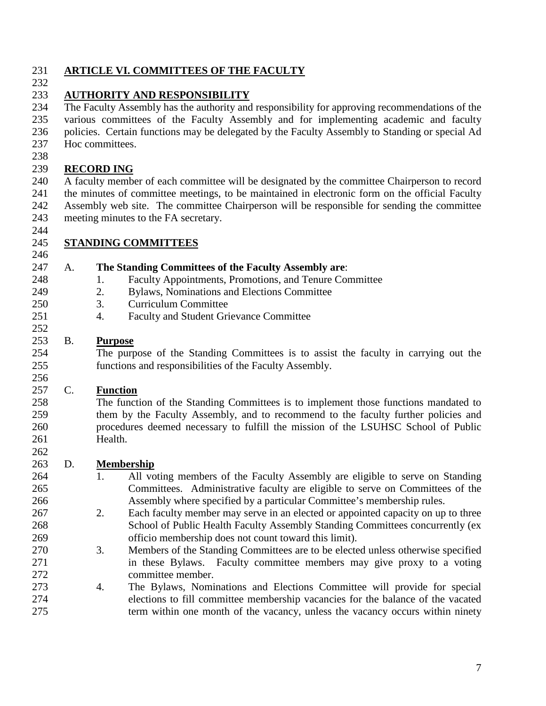#### **ARTICLE VI. COMMITTEES OF THE FACULTY**

## **AUTHORITY AND RESPONSIBILITY**

 The Faculty Assembly has the authority and responsibility for approving recommendations of the various committees of the Faculty Assembly and for implementing academic and faculty policies. Certain functions may be delegated by the Faculty Assembly to Standing or special Ad Hoc committees.

### **RECORD ING**

 A faculty member of each committee will be designated by the committee Chairperson to record the minutes of committee meetings, to be maintained in electronic form on the official Faculty Assembly web site. The committee Chairperson will be responsible for sending the committee meeting minutes to the FA secretary.

#### **STANDING COMMITTEES**

#### A. **The Standing Committees of the Faculty Assembly are**:

- 248 1. Faculty Appointments, Promotions, and Tenure Committee
- 2. Bylaws, Nominations and Elections Committee
- 3. Curriculum Committee
- 4. Faculty and Student Grievance Committee

#### B. **Purpose**

 The purpose of the Standing Committees is to assist the faculty in carrying out the functions and responsibilities of the Faculty Assembly.

#### C. **Function**

 The function of the Standing Committees is to implement those functions mandated to them by the Faculty Assembly, and to recommend to the faculty further policies and procedures deemed necessary to fulfill the mission of the LSUHSC School of Public Health.

#### D. **Membership**

- 1. All voting members of the Faculty Assembly are eligible to serve on Standing Committees. Administrative faculty are eligible to serve on Committees of the Assembly where specified by a particular Committee's membership rules.
- 2. Each faculty member may serve in an elected or appointed capacity on up to three School of Public Health Faculty Assembly Standing Committees concurrently (ex officio membership does not count toward this limit).
- 3. Members of the Standing Committees are to be elected unless otherwise specified in these Bylaws. Faculty committee members may give proxy to a voting committee member.
- 4. The Bylaws, Nominations and Elections Committee will provide for special elections to fill committee membership vacancies for the balance of the vacated term within one month of the vacancy, unless the vacancy occurs within ninety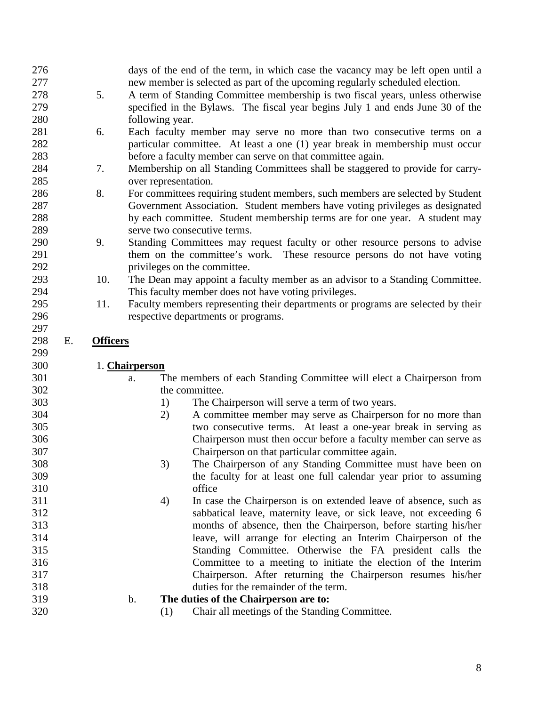| 276 |    |                 | days of the end of the term, in which case the vacancy may be left open until a                                                       |
|-----|----|-----------------|---------------------------------------------------------------------------------------------------------------------------------------|
| 277 |    |                 | new member is selected as part of the upcoming regularly scheduled election.                                                          |
| 278 |    | 5.              | A term of Standing Committee membership is two fiscal years, unless otherwise                                                         |
| 279 |    |                 | specified in the Bylaws. The fiscal year begins July 1 and ends June 30 of the                                                        |
| 280 |    |                 | following year.                                                                                                                       |
| 281 |    | 6.              | Each faculty member may serve no more than two consecutive terms on a                                                                 |
| 282 |    |                 | particular committee. At least a one (1) year break in membership must occur                                                          |
| 283 |    |                 | before a faculty member can serve on that committee again.                                                                            |
| 284 |    | 7.              | Membership on all Standing Committees shall be staggered to provide for carry-                                                        |
| 285 |    |                 | over representation.                                                                                                                  |
| 286 |    | 8.              | For committees requiring student members, such members are selected by Student                                                        |
| 287 |    |                 | Government Association. Student members have voting privileges as designated                                                          |
| 288 |    |                 | by each committee. Student membership terms are for one year. A student may                                                           |
| 289 |    |                 | serve two consecutive terms.                                                                                                          |
| 290 |    | 9.              | Standing Committees may request faculty or other resource persons to advise                                                           |
| 291 |    |                 | them on the committee's work. These resource persons do not have voting                                                               |
| 292 |    |                 | privileges on the committee.                                                                                                          |
| 293 |    | 10.             | The Dean may appoint a faculty member as an advisor to a Standing Committee.                                                          |
| 294 |    |                 | This faculty member does not have voting privileges.                                                                                  |
| 295 |    | 11.             | Faculty members representing their departments or programs are selected by their                                                      |
| 296 |    |                 | respective departments or programs.                                                                                                   |
| 297 |    |                 |                                                                                                                                       |
| 298 | Е. | <b>Officers</b> |                                                                                                                                       |
|     |    |                 |                                                                                                                                       |
| 299 |    |                 |                                                                                                                                       |
| 300 |    |                 | 1. Chairperson                                                                                                                        |
| 301 |    |                 | a.                                                                                                                                    |
| 302 |    |                 | The members of each Standing Committee will elect a Chairperson from<br>the committee.                                                |
| 303 |    |                 | The Chairperson will serve a term of two years.<br>1)                                                                                 |
| 304 |    |                 | 2)<br>A committee member may serve as Chairperson for no more than                                                                    |
| 305 |    |                 | two consecutive terms. At least a one-year break in serving as                                                                        |
| 306 |    |                 | Chairperson must then occur before a faculty member can serve as                                                                      |
| 307 |    |                 |                                                                                                                                       |
| 308 |    |                 | Chairperson on that particular committee again.<br>3)                                                                                 |
| 309 |    |                 | The Chairperson of any Standing Committee must have been on                                                                           |
| 310 |    |                 | the faculty for at least one full calendar year prior to assuming<br>office                                                           |
| 311 |    |                 |                                                                                                                                       |
| 312 |    |                 | In case the Chairperson is on extended leave of absence, such as<br>4)                                                                |
| 313 |    |                 | sabbatical leave, maternity leave, or sick leave, not exceeding 6<br>months of absence, then the Chairperson, before starting his/her |
| 314 |    |                 |                                                                                                                                       |
| 315 |    |                 | leave, will arrange for electing an Interim Chairperson of the<br>Standing Committee. Otherwise the FA president calls the            |
| 316 |    |                 | Committee to a meeting to initiate the election of the Interim                                                                        |
| 317 |    |                 |                                                                                                                                       |
| 318 |    |                 | Chairperson. After returning the Chairperson resumes his/her<br>duties for the remainder of the term.                                 |
| 319 |    |                 | The duties of the Chairperson are to:<br>$\mathbf b$ .                                                                                |
| 320 |    |                 | Chair all meetings of the Standing Committee.<br>(1)                                                                                  |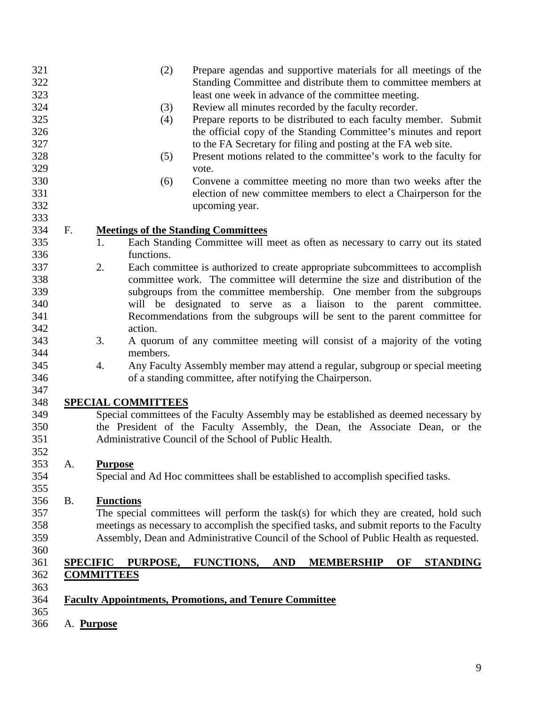|           |                   | (2)                       |                                                               |            | Prepare agendas and supportive materials for all meetings of the<br>Standing Committee and distribute them to committee members at |    |                 |
|-----------|-------------------|---------------------------|---------------------------------------------------------------|------------|------------------------------------------------------------------------------------------------------------------------------------|----|-----------------|
|           |                   |                           |                                                               |            | least one week in advance of the committee meeting.                                                                                |    |                 |
|           |                   | (3)                       |                                                               |            | Review all minutes recorded by the faculty recorder.                                                                               |    |                 |
|           |                   | (4)                       |                                                               |            | Prepare reports to be distributed to each faculty member. Submit                                                                   |    |                 |
|           |                   |                           |                                                               |            | the official copy of the Standing Committee's minutes and report                                                                   |    |                 |
|           |                   |                           |                                                               |            | to the FA Secretary for filing and posting at the FA web site.                                                                     |    |                 |
|           |                   | (5)                       |                                                               |            | Present motions related to the committee's work to the faculty for                                                                 |    |                 |
|           |                   |                           | vote.                                                         |            |                                                                                                                                    |    |                 |
|           |                   | (6)                       |                                                               |            | Convene a committee meeting no more than two weeks after the                                                                       |    |                 |
|           |                   |                           |                                                               |            | election of new committee members to elect a Chairperson for the                                                                   |    |                 |
|           |                   |                           | upcoming year.                                                |            |                                                                                                                                    |    |                 |
| F.        |                   |                           | <b>Meetings of the Standing Committees</b>                    |            |                                                                                                                                    |    |                 |
|           | 1.                |                           |                                                               |            | Each Standing Committee will meet as often as necessary to carry out its stated                                                    |    |                 |
|           |                   | functions.                |                                                               |            |                                                                                                                                    |    |                 |
|           | 2.                |                           |                                                               |            | Each committee is authorized to create appropriate subcommittees to accomplish                                                     |    |                 |
|           |                   |                           |                                                               |            | committee work. The committee will determine the size and distribution of the                                                      |    |                 |
|           |                   |                           |                                                               |            | subgroups from the committee membership. One member from the subgroups                                                             |    |                 |
|           |                   |                           |                                                               |            | will be designated to serve as a liaison to the parent committee.                                                                  |    |                 |
|           |                   |                           |                                                               |            | Recommendations from the subgroups will be sent to the parent committee for                                                        |    |                 |
|           |                   | action.                   |                                                               |            |                                                                                                                                    |    |                 |
|           | 3.                | members.                  |                                                               |            | A quorum of any committee meeting will consist of a majority of the voting                                                         |    |                 |
|           | 4.                |                           |                                                               |            | Any Faculty Assembly member may attend a regular, subgroup or special meeting                                                      |    |                 |
|           |                   |                           | of a standing committee, after notifying the Chairperson.     |            |                                                                                                                                    |    |                 |
|           |                   | <b>SPECIAL COMMITTEES</b> |                                                               |            |                                                                                                                                    |    |                 |
|           |                   |                           |                                                               |            | Special committees of the Faculty Assembly may be established as deemed necessary by                                               |    |                 |
|           |                   |                           |                                                               |            | the President of the Faculty Assembly, the Dean, the Associate Dean, or the                                                        |    |                 |
|           |                   |                           | Administrative Council of the School of Public Health.        |            |                                                                                                                                    |    |                 |
| A.        | <b>Purpose</b>    |                           |                                                               |            |                                                                                                                                    |    |                 |
|           |                   |                           |                                                               |            | Special and Ad Hoc committees shall be established to accomplish specified tasks.                                                  |    |                 |
| <b>B.</b> |                   | <b>Functions</b>          |                                                               |            |                                                                                                                                    |    |                 |
|           |                   |                           |                                                               |            | The special committees will perform the task(s) for which they are created, hold such                                              |    |                 |
|           |                   |                           |                                                               |            | meetings as necessary to accomplish the specified tasks, and submit reports to the Faculty                                         |    |                 |
|           |                   |                           |                                                               |            | Assembly, Dean and Administrative Council of the School of Public Health as requested.                                             |    |                 |
|           | <b>SPECIFIC</b>   | PURPOSE,                  | <b>FUNCTIONS,</b>                                             | <b>AND</b> | <b>MEMBERSHIP</b>                                                                                                                  | OF | <b>STANDING</b> |
|           | <b>COMMITTEES</b> |                           |                                                               |            |                                                                                                                                    |    |                 |
|           |                   |                           |                                                               |            |                                                                                                                                    |    |                 |
|           |                   |                           | <b>Faculty Appointments, Promotions, and Tenure Committee</b> |            |                                                                                                                                    |    |                 |
|           |                   |                           |                                                               |            |                                                                                                                                    |    |                 |
|           | A. Purpose        |                           |                                                               |            |                                                                                                                                    |    |                 |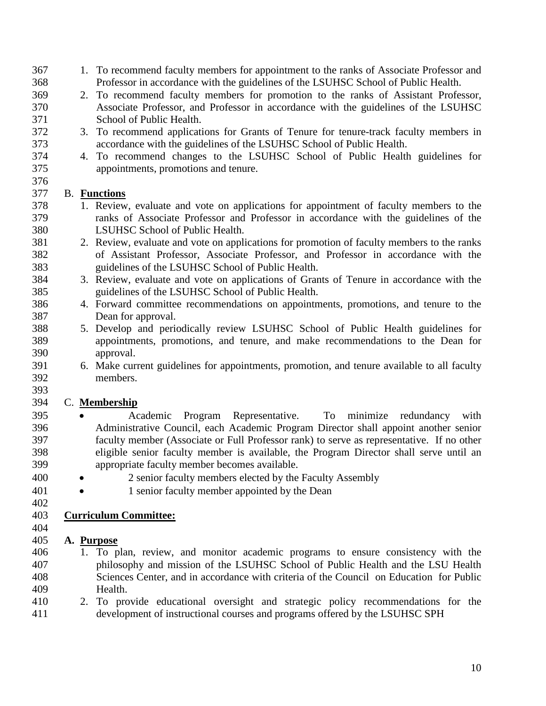- 1. To recommend faculty members for appointment to the ranks of Associate Professor and Professor in accordance with the guidelines of the LSUHSC School of Public Health.
- 2. To recommend faculty members for promotion to the ranks of Assistant Professor, Associate Professor, and Professor in accordance with the guidelines of the LSUHSC School of Public Health.
- 3. To recommend applications for Grants of Tenure for tenure-track faculty members in accordance with the guidelines of the LSUHSC School of Public Health.
- 4. To recommend changes to the LSUHSC School of Public Health guidelines for appointments, promotions and tenure.

### B. **Functions**

- 1. Review, evaluate and vote on applications for appointment of faculty members to the ranks of Associate Professor and Professor in accordance with the guidelines of the LSUHSC School of Public Health.
- 2. Review, evaluate and vote on applications for promotion of faculty members to the ranks of Assistant Professor, Associate Professor, and Professor in accordance with the guidelines of the LSUHSC School of Public Health.
- 3. Review, evaluate and vote on applications of Grants of Tenure in accordance with the guidelines of the LSUHSC School of Public Health.
- 4. Forward committee recommendations on appointments, promotions, and tenure to the Dean for approval.
- 5. Develop and periodically review LSUHSC School of Public Health guidelines for appointments, promotions, and tenure, and make recommendations to the Dean for approval.
- 6. Make current guidelines for appointments, promotion, and tenure available to all faculty members.

#### C. **Membership**

- Academic Program Representative. To minimize redundancy with Administrative Council, each Academic Program Director shall appoint another senior faculty member (Associate or Full Professor rank) to serve as representative. If no other eligible senior faculty member is available, the Program Director shall serve until an appropriate faculty member becomes available.
- 400 2 senior faculty members elected by the Faculty Assembly
- 401 1 senior faculty member appointed by the Dean
- 

**Curriculum Committee:**

### **A. Purpose**

- 1. To plan, review, and monitor academic programs to ensure consistency with the philosophy and mission of the LSUHSC School of Public Health and the LSU Health Sciences Center, and in accordance with criteria of the Council on Education for Public Health.
- 2. To provide educational oversight and strategic policy recommendations for the development of instructional courses and programs offered by the LSUHSC SPH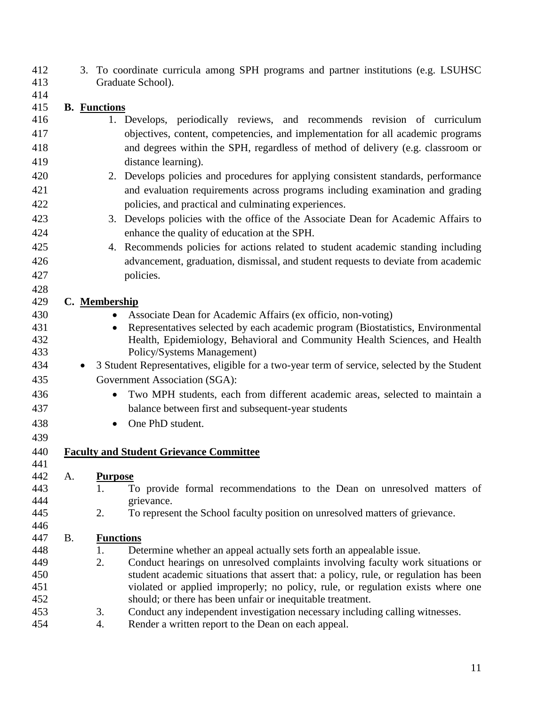3. To coordinate curricula among SPH programs and partner institutions (e.g. LSUHSC Graduate School).

# **B. Functions**

- 1. Develops, periodically reviews, and recommends revision of curriculum objectives, content, competencies, and implementation for all academic programs and degrees within the SPH, regardless of method of delivery (e.g. classroom or distance learning).
- 2. Develops policies and procedures for applying consistent standards, performance and evaluation requirements across programs including examination and grading policies, and practical and culminating experiences.
- 3. Develops policies with the office of the Associate Dean for Academic Affairs to enhance the quality of education at the SPH.
- 4. Recommends policies for actions related to student academic standing including advancement, graduation, dismissal, and student requests to deviate from academic policies.

#### **C. Membership**

- Associate Dean for Academic Affairs (ex officio, non-voting)
- Representatives selected by each academic program (Biostatistics, Environmental Health, Epidemiology, Behavioral and Community Health Sciences, and Health Policy/Systems Management)
- 3 Student Representatives, eligible for a two-year term of service, selected by the Student Government Association (SGA):
- Two MPH students, each from different academic areas, selected to maintain a balance between first and subsequent-year students
- One PhD student.

# **Faculty and Student Grievance Committee**

#### A. **Purpose**

- 1. To provide formal recommendations to the Dean on unresolved matters of grievance.
- 2. To represent the School faculty position on unresolved matters of grievance.

#### B. **Functions**

- 448 1. Determine whether an appeal actually sets forth an appealable issue.
- 2. Conduct hearings on unresolved complaints involving faculty work situations or student academic situations that assert that: a policy, rule, or regulation has been violated or applied improperly; no policy, rule, or regulation exists where one should; or there has been unfair or inequitable treatment.
- 3. Conduct any independent investigation necessary including calling witnesses.
- 4. Render a written report to the Dean on each appeal.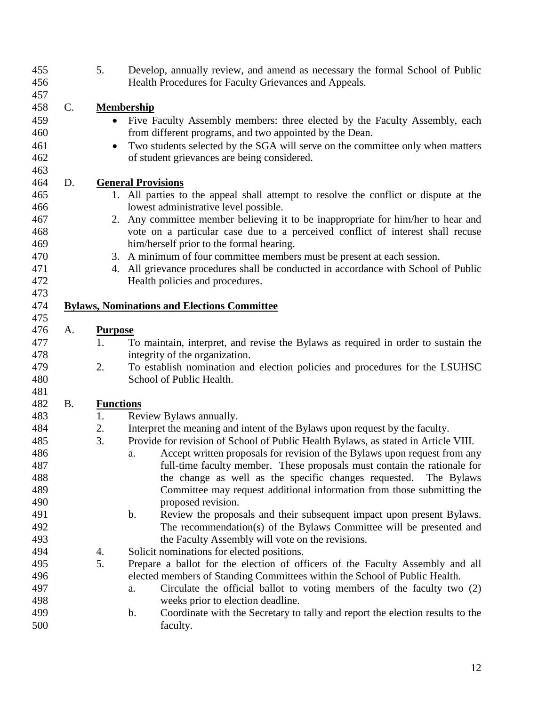| 456        |                 | 5.               | Develop, annually review, and amend as necessary the formal School of Public<br>Health Procedures for Faculty Grievances and Appeals. |
|------------|-----------------|------------------|---------------------------------------------------------------------------------------------------------------------------------------|
| 457        |                 |                  |                                                                                                                                       |
| 458        | $\mathcal{C}$ . |                  | <b>Membership</b>                                                                                                                     |
| 459        |                 | $\bullet$        | Five Faculty Assembly members: three elected by the Faculty Assembly, each                                                            |
| 460        |                 |                  | from different programs, and two appointed by the Dean.                                                                               |
| 461        |                 | $\bullet$        | Two students selected by the SGA will serve on the committee only when matters                                                        |
| 462        |                 |                  | of student grievances are being considered.                                                                                           |
| 463        |                 |                  |                                                                                                                                       |
| 464        | D.              |                  | <b>General Provisions</b>                                                                                                             |
| 465        |                 |                  | 1. All parties to the appeal shall attempt to resolve the conflict or dispute at the                                                  |
| 466        |                 |                  | lowest administrative level possible.                                                                                                 |
| 467        |                 |                  | 2. Any committee member believing it to be inappropriate for him/her to hear and                                                      |
| 468        |                 |                  | vote on a particular case due to a perceived conflict of interest shall recuse                                                        |
| 469        |                 |                  | him/herself prior to the formal hearing.                                                                                              |
| 470        |                 |                  | 3. A minimum of four committee members must be present at each session.                                                               |
| 471        |                 |                  | 4. All grievance procedures shall be conducted in accordance with School of Public                                                    |
| 472        |                 |                  | Health policies and procedures.                                                                                                       |
| 473        |                 |                  |                                                                                                                                       |
| 474        |                 |                  | <b>Bylaws, Nominations and Elections Committee</b>                                                                                    |
| 475        |                 |                  |                                                                                                                                       |
| 476        | A.              | <b>Purpose</b>   |                                                                                                                                       |
| 477        |                 | 1.               | To maintain, interpret, and revise the Bylaws as required in order to sustain the                                                     |
|            |                 |                  |                                                                                                                                       |
| 478        |                 |                  | integrity of the organization.                                                                                                        |
| 479        |                 | 2.               | To establish nomination and election policies and procedures for the LSUHSC                                                           |
| 480        |                 |                  | School of Public Health.                                                                                                              |
| 481        |                 |                  |                                                                                                                                       |
| 482        | <b>B.</b>       | <b>Functions</b> |                                                                                                                                       |
| 483        |                 | 1.               | Review Bylaws annually.                                                                                                               |
| 484        |                 | 2.               | Interpret the meaning and intent of the Bylaws upon request by the faculty.                                                           |
| 485        |                 | 3.               | Provide for revision of School of Public Health Bylaws, as stated in Article VIII.                                                    |
| 486        |                 |                  | Accept written proposals for revision of the Bylaws upon request from any<br>a.                                                       |
| 487        |                 |                  | full-time faculty member. These proposals must contain the rationale for                                                              |
| 488        |                 |                  | the change as well as the specific changes requested.<br>The Bylaws                                                                   |
| 489        |                 |                  | Committee may request additional information from those submitting the                                                                |
| 490        |                 |                  | proposed revision.                                                                                                                    |
| 491        |                 |                  | Review the proposals and their subsequent impact upon present Bylaws.<br>b.                                                           |
| 492        |                 |                  | The recommendation(s) of the Bylaws Committee will be presented and                                                                   |
| 493        |                 |                  | the Faculty Assembly will vote on the revisions.                                                                                      |
| 494        |                 | 4.               | Solicit nominations for elected positions.                                                                                            |
| 495        |                 | 5.               | Prepare a ballot for the election of officers of the Faculty Assembly and all                                                         |
| 496        |                 |                  | elected members of Standing Committees within the School of Public Health.                                                            |
| 497<br>498 |                 |                  | Circulate the official ballot to voting members of the faculty two (2)<br>a.                                                          |
| 499        |                 |                  | weeks prior to election deadline.<br>Coordinate with the Secretary to tally and report the election results to the<br>b.              |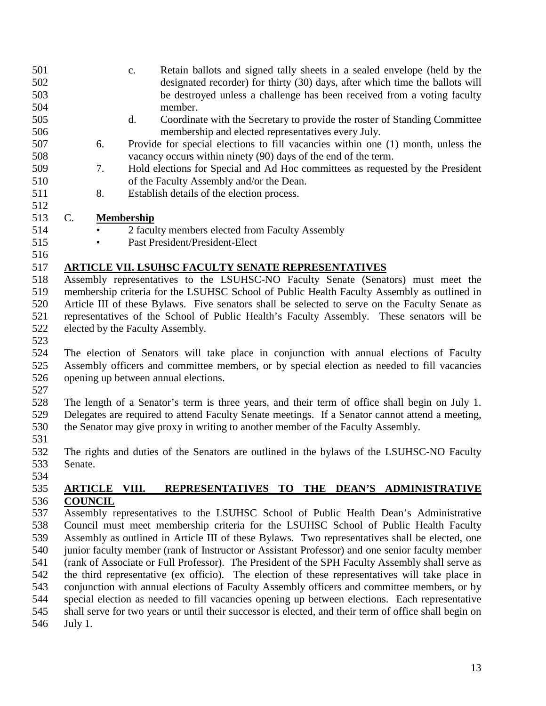- c. Retain ballots and signed tally sheets in a sealed envelope (held by the designated recorder) for thirty (30) days, after which time the ballots will be destroyed unless a challenge has been received from a voting faculty member. d. Coordinate with the Secretary to provide the roster of Standing Committee membership and elected representatives every July. 6. Provide for special elections to fill vacancies within one (1) month, unless the vacancy occurs within ninety (90) days of the end of the term. 7. Hold elections for Special and Ad Hoc committees as requested by the President of the Faculty Assembly and/or the Dean. 8. Establish details of the election process. C. **Membership** • 2 faculty members elected from Faculty Assembly
- Past President/President-Elect

## **ARTICLE VII. LSUHSC FACULTY SENATE REPRESENTATIVES**

 Assembly representatives to the LSUHSC-NO Faculty Senate (Senators) must meet the membership criteria for the LSUHSC School of Public Health Faculty Assembly as outlined in Article III of these Bylaws. Five senators shall be selected to serve on the Faculty Senate as representatives of the School of Public Health's Faculty Assembly. These senators will be elected by the Faculty Assembly.

 The election of Senators will take place in conjunction with annual elections of Faculty Assembly officers and committee members, or by special election as needed to fill vacancies opening up between annual elections.

 The length of a Senator's term is three years, and their term of office shall begin on July 1. Delegates are required to attend Faculty Senate meetings. If a Senator cannot attend a meeting, the Senator may give proxy in writing to another member of the Faculty Assembly.

531<br>532 The rights and duties of the Senators are outlined in the bylaws of the LSUHSC-NO Faculty Senate.

## **ARTICLE VIII. REPRESENTATIVES TO THE DEAN'S ADMINISTRATIVE COUNCIL**

 Assembly representatives to the LSUHSC School of Public Health Dean's Administrative Council must meet membership criteria for the LSUHSC School of Public Health Faculty Assembly as outlined in Article III of these Bylaws. Two representatives shall be elected, one junior faculty member (rank of Instructor or Assistant Professor) and one senior faculty member (rank of Associate or Full Professor). The President of the SPH Faculty Assembly shall serve as the third representative (ex officio). The election of these representatives will take place in conjunction with annual elections of Faculty Assembly officers and committee members, or by special election as needed to fill vacancies opening up between elections. Each representative shall serve for two years or until their successor is elected, and their term of office shall begin on July 1.